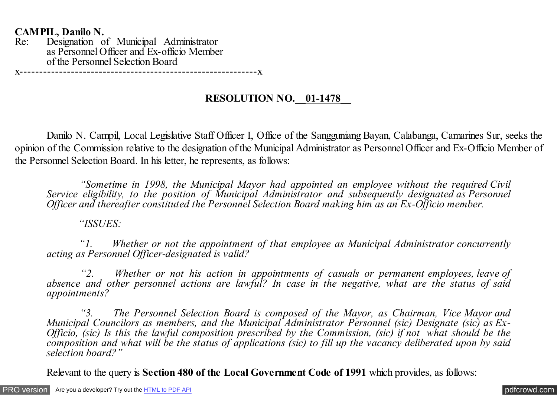**CAMPIL, Danilo N.** Designation of Municipal Administrator as Personnel Officer and Ex-officio Member of the Personnel Selection Board

x------------------------------------------------------------x

## **RESOLUTION NO.\_\_01-1478\_\_**

 Danilo N. Campil, Local Legislative Staff Officer I, Office of the Sangguniang Bayan, Calabanga, Camarines Sur, seeks the opinion of the Commission relative to the designation of the Municipal Administrator as Personnel Officer and Ex-Officio Member of the Personnel Selection Board. In his letter, he represents, as follows:

 *"Sometime in 1998, the Municipal Mayor had appointed an employee without the required Civil Service eligibility, to the position of Municipal Administrator and subsequently designated as Personnel Officer and thereafter constituted the Personnel Selection Board making him as an Ex-Officio member.*

 *"ISSUES:*

 *"1. Whether or not the appointment of that employee as Municipal Administrator concurrently acting as Personnel Officer-designated is valid?*

 *"2. Whether or not his action in appointments of casuals or permanent employees, leave of absence and other personnel actions are lawful? In case in the negative, what are the status of said appointments?*

 *"3. The Personnel Selection Board is composed of the Mayor, as Chairman, Vice Mayor and Municipal Councilors as members, and the Municipal Administrator Personnel (sic) Designate (sic) as Ex-Officio, (sic) Is this the lawful composition prescribed by the Commission, (sic) if not what should be the composition and what will be the status of applications (sic) to fill up the vacancy deliberated upon by said selection board?"*

Relevant to the query is **Section 480 of the Local Government Code of 1991** which provides, as follows: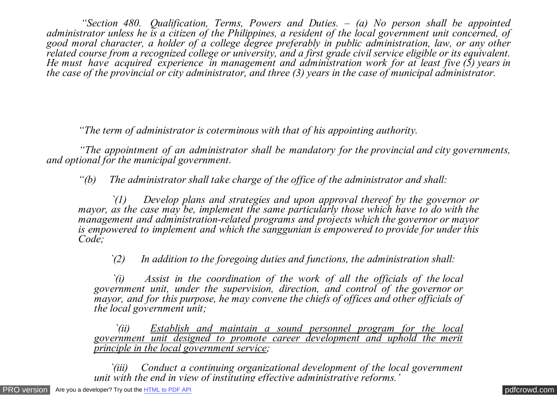*"Section 480. Qualification, Terms, Powers and Duties. – (a) No person shall be appointed administrator unless he is a citizen of the Philippines, a resident of the local government unit concerned, of good moral character, a holder of a college degree preferably in public administration, law, or any other related course from a recognized college or university, and a first grade civil service eligible or its equivalent. He must have acquired experience in management and administration work for at least five (5) years in the case of the provincial or city administrator, and three (3) years in the case of municipal administrator.*

 *"The term of administrator is coterminous with that of his appointing authority.*

 *"The appointment of an administrator shall be mandatory for the provincial and city governments, and optional for the municipal government.*

 *"(b) The administrator shall take charge of the office of the administrator and shall:*

 *`(1) Develop plans and strategies and upon approval thereof by the governor or mayor, as the case may be, implement the same particularly those which have to do with the management and administration-related programs and projects which the governor or mayor is empowered to implement and which the sanggunian is empowered to provide for under this Code;*

 *`(2) In addition to the foregoing duties and functions, the administration shall:*

 *`(i) Assist in the coordination of the work of all the officials of the local* government unit, under the supervision, direction, and control of the governor or *mayor, and for this purpose, he may convene the chiefs of offices and other officials of the local government unit;*

 *`(ii) Establish and maintain a sound personnel program for the local government unit designed to promote career development and uphold the merit principle in the local government service;*

 *`(iii) Conduct a continuing organizational development of the local government unit with the end in view of instituting effective administrative reforms.'*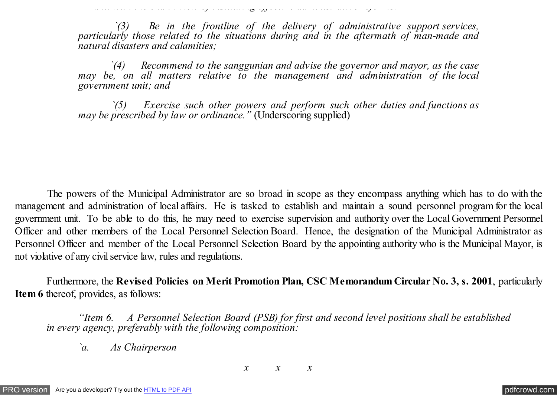*`(3) Be in the frontline of the delivery of administrative support services, particularly those related to the situations during and in the aftermath of man-made and natural disasters and calamities;*

*unit with the end in view of instituting effective administrative reforms.'*

 *`(4) Recommend to the sanggunian and advise the governor and mayor, as the case may be, on all matters relative to the management and administration of the local government unit; and*

 *`(5) Exercise such other powers and perform such other duties and functions as may be prescribed by law or ordinance.*" (Underscoring supplied)

 The powers of the Municipal Administrator are so broad in scope as they encompass anything which has to do with the management and administration of local affairs. He is tasked to establish and maintain a sound personnel program for the local government unit. To be able to do this, he may need to exercise supervision and authority over the Local Government Personnel Officer and other members of the Local Personnel Selection Board. Hence, the designation of the Municipal Administrator as Personnel Officer and member of the Local Personnel Selection Board by the appointing authority who is the Municipal Mayor, is not violative of any civil service law, rules and regulations.

 Furthermore, the **Revised Policies on Merit Promotion Plan, CSC Memorandum Circular No. 3, s. 2001**, particularly **Item 6** thereof, provides, as follows:

 *"Item 6. A Personnel Selection Board (PSB) for first and second level positions shall be established in every agency, preferably with the following composition:*

*`a. As Chairperson*

*x x x*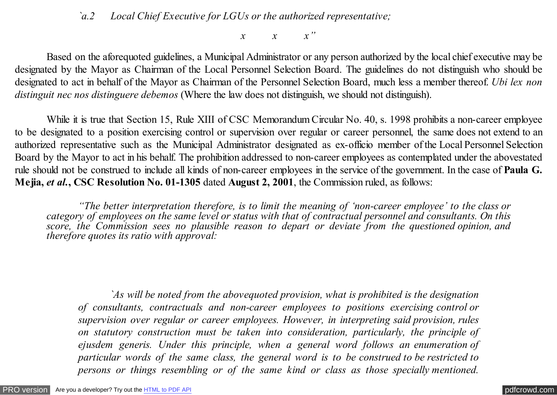## *`a.2 Local Chief Executive for LGUs or the authorized representative;*

*x x x"*

 Based on the aforequoted guidelines, a Municipal Administrator or any person authorized by the local chief executive may be designated by the Mayor as Chairman of the Local Personnel Selection Board. The guidelines do not distinguish who should be designated to act in behalf of the Mayor as Chairman of the Personnel Selection Board, much less a member thereof. *Ubi lex non distinguit nec nos distinguere debemos* (Where the law does not distinguish, we should not distinguish).

While it is true that Section 15, Rule XIII of CSC Memorandum Circular No. 40, s. 1998 prohibits a non-career employee to be designated to a position exercising control or supervision over regular or career personnel, the same does not extend to an authorized representative such as the Municipal Administrator designated as ex-officio member of the Local Personnel Selection Board by the Mayor to act in his behalf. The prohibition addressed to non-career employees as contemplated under the abovestated rule should not be construed to include all kinds of non-career employees in the service of the government. In the case of **Paula G. Mejia,** *et al.***, CSC Resolution No. 01-1305** dated **August 2, 2001**, the Commission ruled, as follows:

 *"The better interpretation therefore, is to limit the meaning of 'non-career employee' to the class or category of employees on the same level or status with that of contractual personnel and consultants. On this score, the Commission sees no plausible reason to depart or deviate from the questioned opinion, and therefore quotes its ratio with approval:*

 *`As will be noted from the abovequoted provision, what is prohibited is the designation of consultants, contractuals and non-career employees to positions exercising control or supervision over regular or career employees. However, in interpreting said provision, rules on statutory construction must be taken into consideration, particularly, the principle of ejusdem generis. Under this principle, when a general word follows an enumeration of particular words of the same class, the general word is to be construed to be restricted to persons or things resembling or of the same kind or class as those specially mentioned.*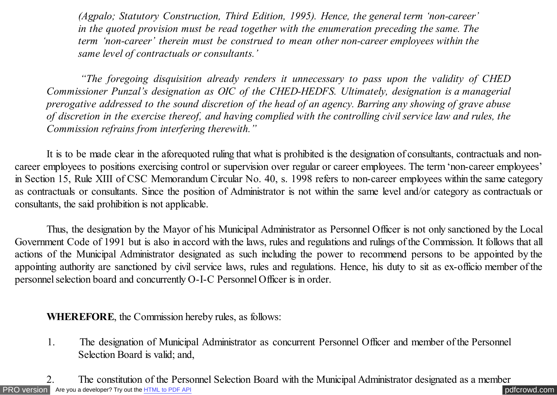*(Agpalo; Statutory Construction, Third Edition, 1995). Hence, the general term 'non-career' in the quoted provision must be read together with the enumeration preceding the same. The term 'non-career' therein must be construed to mean other non-career employees within the same level of contractuals or consultants.'*

 *"The foregoing disquisition already renders it unnecessary to pass upon the validity of CHED Commissioner Punzal's designation as OIC of the CHED-HEDFS. Ultimately, designation is a managerial prerogative addressed to the sound discretion of the head of an agency. Barring any showing of grave abuse of discretion in the exercise thereof, and having complied with the controlling civil service law and rules, the Commission refrains from interfering therewith."*

 It is to be made clear in the aforequoted ruling that what is prohibited is the designation of consultants, contractuals and noncareer employees to positions exercising control or supervision over regular or career employees. The term 'non-career employees' in Section 15, Rule XIII of CSC Memorandum Circular No. 40, s. 1998 refers to non-career employees within the same category as contractuals or consultants. Since the position of Administrator is not within the same level and/or category as contractuals or consultants, the said prohibition is not applicable.

 Thus, the designation by the Mayor of his Municipal Administrator as Personnel Officer is not only sanctioned by the Local Government Code of 1991 but is also in accord with the laws, rules and regulations and rulings of the Commission. It follows that all actions of the Municipal Administrator designated as such including the power to recommend persons to be appointed by the appointing authority are sanctioned by civil service laws, rules and regulations. Hence, his duty to sit as ex-officio member of the personnel selection board and concurrently O-I-C Personnel Officer is in order.

 **WHEREFORE**, the Commission hereby rules, as follows:

 1. The designation of Municipal Administrator as concurrent Personnel Officer and member of the Personnel Selection Board is valid; and,

[PRO version](http://pdfcrowd.com/customize/) Are you a developer? Try out th[e HTML to PDF API](http://pdfcrowd.com/html-to-pdf-api/?ref=pdf) compared to the CHTML of PDF API [pdfcrowd.com](http://pdfcrowd.com) 2. The constitution of the Personnel Selection Board with the Municipal Administrator designated as a member